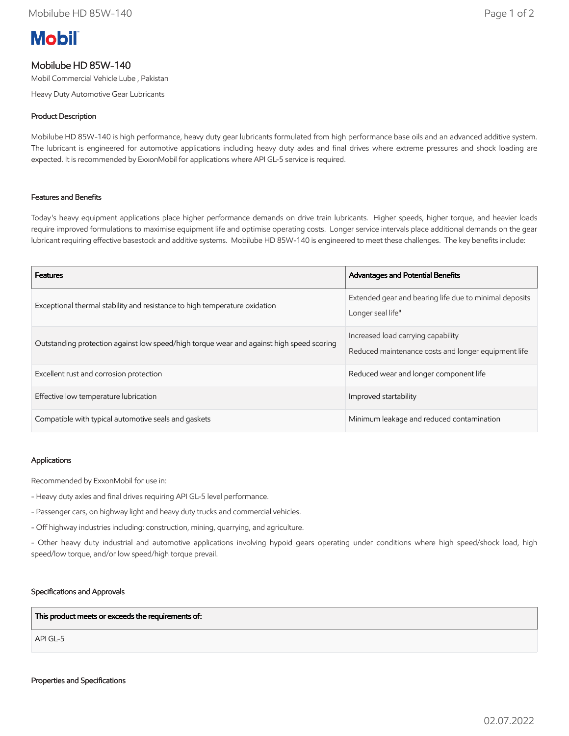# **Mobil**

## Mobilube HD 85W-140

Mobil Commercial Vehicle Lube , Pakistan

Heavy Duty Automotive Gear Lubricants

### Product Description

Mobilube HD 85W-140 is high performance, heavy duty gear lubricants formulated from high performance base oils and an advanced additive system. The lubricant is engineered for automotive applications including heavy duty axles and final drives where extreme pressures and shock loading are expected. It is recommended by ExxonMobil for applications where API GL-5 service is required.

#### Features and Benefits

Today's heavy equipment applications place higher performance demands on drive train lubricants. Higher speeds, higher torque, and heavier loads require improved formulations to maximise equipment life and optimise operating costs. Longer service intervals place additional demands on the gear lubricant requiring effective basestock and additive systems. Mobilube HD 85W-140 is engineered to meet these challenges. The key benefits include:

| <b>Features</b>                                                                          | <b>Advantages and Potential Benefits</b>                                                  |
|------------------------------------------------------------------------------------------|-------------------------------------------------------------------------------------------|
| Exceptional thermal stability and resistance to high temperature oxidation               | Extended gear and bearing life due to minimal deposits<br>Longer seal life"               |
| Outstanding protection against low speed/high torque wear and against high speed scoring | Increased load carrying capability<br>Reduced maintenance costs and longer equipment life |
| Excellent rust and corrosion protection                                                  | Reduced wear and longer component life                                                    |
| Effective low temperature lubrication                                                    | Improved startability                                                                     |
| Compatible with typical automotive seals and gaskets                                     | Minimum leakage and reduced contamination                                                 |

#### Applications

Recommended by ExxonMobil for use in:

- Heavy duty axles and final drives requiring API GL-5 level performance.
- Passenger cars, on highway light and heavy duty trucks and commercial vehicles.
- Off highway industries including: construction, mining, quarrying, and agriculture.

- Other heavy duty industrial and automotive applications involving hypoid gears operating under conditions where high speed/shock load, high speed/low torque, and/or low speed/high torque prevail.

#### Specifications and Approvals

This product meets or exceeds the requirements of:

API GL-5